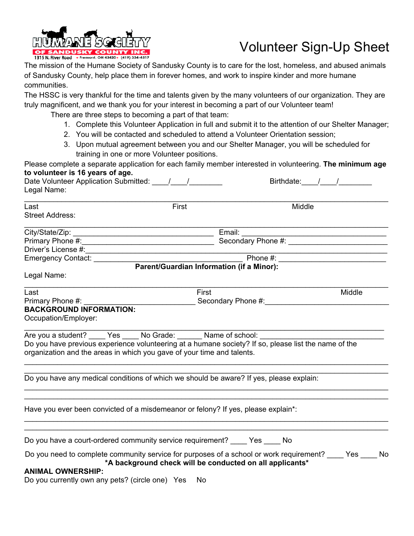

## Volunteer Sign-Up Sheet

The mission of the Humane Society of Sandusky County is to care for the lost, homeless, and abused animals of Sandusky County, help place them in forever homes, and work to inspire kinder and more humane communities.

The HSSC is very thankful for the time and talents given by the many volunteers of our organization. They are truly magnificent, and we thank you for your interest in becoming a part of our Volunteer team!

There are three steps to becoming a part of that team:

- 1. Complete this Volunteer Application in full and submit it to the attention of our Shelter Manager;
- 2. You will be contacted and scheduled to attend a Volunteer Orientation session;
- 3. Upon mutual agreement between you and our Shelter Manager, you will be scheduled for training in one or more Volunteer positions.

| Please complete a separate application for each family member interested in volunteering. The minimum age  |       |                                                          |                |
|------------------------------------------------------------------------------------------------------------|-------|----------------------------------------------------------|----------------|
| to volunteer is 16 years of age.<br>Date Volunteer Application Submitted: 1 1                              |       |                                                          | Birthdate: / / |
| Legal Name:                                                                                                |       |                                                          |                |
|                                                                                                            |       |                                                          |                |
| Last                                                                                                       | First | Middle                                                   |                |
| <b>Street Address:</b>                                                                                     |       |                                                          |                |
|                                                                                                            |       |                                                          |                |
| Primary Phone #: Secondary Phone #:                                                                        |       |                                                          |                |
|                                                                                                            |       |                                                          |                |
|                                                                                                            |       |                                                          |                |
|                                                                                                            |       | Parent/Guardian Information (if a Minor):                |                |
| Legal Name:                                                                                                |       |                                                          |                |
| Last                                                                                                       | First |                                                          | Middle         |
|                                                                                                            |       |                                                          |                |
| <b>BACKGROUND INFORMATION:</b>                                                                             |       |                                                          |                |
| Occupation/Employer:                                                                                       |       |                                                          |                |
| Are you a student? _____ Yes _____ No Grade: _______ Name of school: ______                                |       |                                                          |                |
| Do you have previous experience volunteering at a humane society? If so, please list the name of the       |       |                                                          |                |
| organization and the areas in which you gave of your time and talents.                                     |       |                                                          |                |
|                                                                                                            |       |                                                          |                |
| Do you have any medical conditions of which we should be aware? If yes, please explain:                    |       |                                                          |                |
|                                                                                                            |       |                                                          |                |
| Have you ever been convicted of a misdemeanor or felony? If yes, please explain*:                          |       |                                                          |                |
|                                                                                                            |       |                                                          |                |
| Do you have a court-ordered community service requirement? Yes No                                          |       |                                                          |                |
|                                                                                                            |       |                                                          |                |
| Do you need to complete community service for purposes of a school or work requirement? _____ Yes _____ No |       | *A background check will be conducted on all applicants* |                |
| <b>ANIMAL OWNERSHIP:</b>                                                                                   |       |                                                          |                |
| Do you currently own any pets? (circle one) Yes                                                            | No.   |                                                          |                |